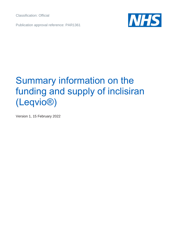Classification: Official

Publication approval reference: PAR1361



# Summary information on the funding and supply of inclisiran (Leqvio®)

Version 1, 15 February 2022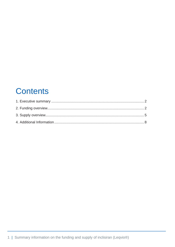### **Contents**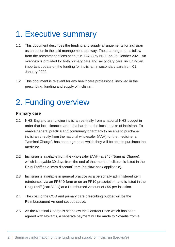## <span id="page-2-0"></span>1. Executive summary

- 1.1 This document describes the funding and supply arrangements for inclisiran as an option in the lipid management pathway. These arrangements follow from the recommendations set out in TA733 by NICE on 06 October 2021. An overview is provided for both primary care and secondary care, including an important update on the funding for inclisiran in secondary care from 01 January 2022.
- 1.2 This document is relevant for any healthcare professional involved in the prescribing, funding and supply of inclisiran.

## <span id="page-2-1"></span>2. Funding overview

#### **Primary care**

- 2.1 NHS England are funding inclisiran centrally from a national NHS budget in order that local finances are not a barrier to the local uptake of inclisiran. To enable general practice and community pharmacy to be able to purchase inclisiran directly from the national wholesaler (AAH) for the medicine, a 'Nominal Charge', has been agreed at which they will be able to purchase the medicine.
- 2.2 Inclisiran is available from the wholesaler (AAH) at £45 (Nominal Charge), which is payable 30 days from the end of that month. Inclisiran is listed in the Drug Tariff as a 'zero discount' item (no claw-back applicable).
- 2.3 Inclisiran is available in general practice as a personally administered item reimbursed via an FP34D form or on an FP10 prescription, and is listed in the Drug Tariff (Part VIIIC) at a Reimbursed Amount of £55 per injection.
- 2.4 The cost to the CCG and primary care prescribing budget will be the Reimbursement Amount set out above.
- 2.5 As the Nominal Charge is set below the Contract Price which has been agreed with Novartis, a separate payment will be made to Novartis from a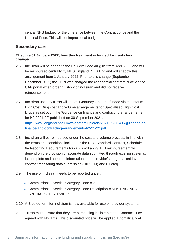central NHS budget for the difference between the Contract price and the Nominal Price. This will not impact local budget.

#### **Secondary care**

#### **Effective 01 January 2022, how this treatment is funded for trusts has changed**

- 2.6 Inclisiran will be added to the PbR excluded drug list from April 2022 and will be reimbursed centrally by NHS England. NHS England will shadow this arrangement from 1 January 2022. Prior to this change (September – December 2021) the Trust was charged the confidential contract price via the CAP portal when ordering stock of inclisiran and did not receive reimbursement.
- 2.7 Inclisiran used by trusts will, as of 1 January 2022, be funded via the interim High Cost Drug cost and volume arrangements for Specialised High Cost Drugs as set out in the 'Guidance on finance and contracting arrangements for H2 2021/22' published on 30 September 2021: [https://www.england.nhs.uk/wp-content/uploads/2021/09/C1406-guidance-on](https://www.england.nhs.uk/wp-content/uploads/2021/09/C1406-guidance-on-finance-and-contracting-arrangements-h2-21-22.pdf)[finance-and-contracting-arrangements-h2-21-22.pdf](https://www.england.nhs.uk/wp-content/uploads/2021/09/C1406-guidance-on-finance-and-contracting-arrangements-h2-21-22.pdf)
- 2.8 Inclisiran will be reimbursed under the cost and volume process. In line with the terms and conditions included in the NHS Standard Contract, Schedule 6a Reporting Requirements for drugs will apply. Full reimbursement will depend on the provision of accurate data submitted through existing systems, ie, complete and accurate information in the provider's drugs patient level contract monitoring data submission (DrPLCM) and Blueteq.
- 2.9 The use of inclisiran needs to be reported under:
	- Commissioned Service Category Code = 21
	- Commissioned Service Category Code Description = NHS ENGLAND SPECIALISED SERVICES
- 2.10 A Blueteq form for inclisiran is now available for use on provider systems.
- 2.11 Trusts must ensure that they are purchasing inclisiran at the Contract Price agreed with Novartis. This discounted price will be applied automatically at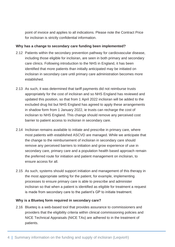point of invoice and applies to all indications. Please note the Contract Price for inclisiran is strictly confidential information.

#### **Why has a change to secondary care funding been implemented?**

- 2.12 Patients within the secondary prevention pathway for cardiovascular disease, including those eligible for inclisiran, are seen in both primary and secondary care clinics. Following introduction to the NHS in England, it has been identified that more patients than initially anticipated may be initiated on inclisiran in secondary care until primary care administration becomes more established.
- 2.13 As such, it was determined that tariff payments did not reimburse trusts appropriately for the cost of inclisiran and so NHS England has reviewed and updated this position, so that from 1 April 2022 inclisiran will be added to the excluded drug list but NHS England has agreed to apply these arrangements in shadow form from 1 January 2022, ie trusts can recharge the cost of inclisiran to NHS England. This change should remove any perceived cost barrier to patient access to inclisiran in secondary care.
- 2.14 Inclisiran remains available to initiate and prescribe in primary care, where most patients with established ASCVD are managed. While we anticipate that the change to the reimbursement of inclisiran in secondary care should remove any perceived barriers to initiation and grow experience of use in secondary care, primary care and a population health based approach remain the preferred route for initiation and patient management on inclisiran, to ensure access for all.
- 2.15 As such, systems should support initiation and management of this therapy in the most appropriate setting for the patient, for example, implementing processes to ensure primary care is able to prescribe and administer inclisiran so that when a patient is identified as eligible for treatment a request is made from secondary care to the patient's GP to initiate treatment.

#### **Why is a Blueteq form required in secondary care?**

2.16 Blueteq is a web-based tool that provides assurance to commissioners and providers that the eligibility criteria within clinical commissioning policies and NICE Technical Appraisals (NICE TAs) are adhered to in the treatment of patients.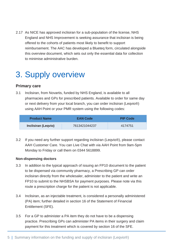2.17 As NICE has approved inclisiran for a sub-population of the license, NHS England and NHS Improvement is seeking assurance that inclisiran is being offered to the cohorts of patients most likely to benefit to support reimbursement. The AAC has developed a Blueteq form, circulated alongside this overview document, which sets out only the essential data for collection to minimise administrative burden.

## <span id="page-5-0"></span>3. Supply overview

#### **Primary care**

3.1 Inclisiran, from Novartis, funded by NHS England, is available to all pharmacies and GPs for prescribed patients. Available to order for same day or next delivery from your local branch, you can order inclisiran (Leqvio®) using AAH Point or your PMR system using the following codes:

| <b>Product Name</b>        | <b>EAN Code</b> | <b>PIP Code</b> |
|----------------------------|-----------------|-----------------|
| <b>Inclisiran (Legvio)</b> | 7613421044237   | 4174751         |

3.2 If you need any further support regarding inclisiran (Leqvio®), please contact AAH Customer Care. You can Live Chat with via AAH Point from 9am-5pm Monday to Friday or call them on 0344 5618899.

#### **Non-dispensing doctors**

- 3.3 In addition to the typical approach of issuing an FP10 document to the patient to be dispensed via community pharmacy, a Prescribing GP can order inclisiran directly from the wholesaler, administer to the patient and write an FP10 to submit to the NHSBSA for payment purposes. Please note via this route a prescription charge for the patient is not applicable.
- 3.4 Inclisiran, as an injectable treatment, is considered a personally administered (PA) item; further detailed in section 16 of the Statement of Financial Entitlement (SFE).
- 3.5 For a GP to administer a PA item they do not have to be a dispensing practice. Prescribing GPs can administer PA items in their surgery and claim payment for this treatment which is covered by section 16 of the SFE.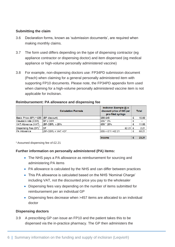#### **Submitting the claim**

- 3.6 Declaration forms, known as 'submission documents', are required when making monthly claims.
- 3.7 The form used differs depending on the type of dispensing contractor (eg appliance contractor or dispensing doctor) and item dispensed (eg medical appliance or high-volume personally administered vaccine)
- 3.8 For example, non-dispensing doctors use: FP34PD submission document (Peach) when claiming for a general personally administered item with supporting FP10 documents. Please note, the FP34PD appendix form used when claiming for a high-volume personally administered vaccine item is not applicable for inclisiran.

#### **Reimbursement: PA allowance and dispensing fee**

| <b>Calculation Formula</b>           | Inclisiran Example @ a<br>discount price of £45 per<br>pre-filled syringe |                               | <b>Total</b> |
|--------------------------------------|---------------------------------------------------------------------------|-------------------------------|--------------|
| Basic Price (BP) = £55 (BP-discount) | E55-£45                                                                   |                               | 10.00        |
| <b>BP x CBR</b>                      | E55 * 0%                                                                  |                               |              |
| $I(BP-CBR) \times 20\%$              |                                                                           |                               | 11.00        |
| <b>DF</b>                            |                                                                           |                               | 2.21         |
| (BP-CBR) + VAT +DF                   |                                                                           |                               | 68.21        |
|                                      |                                                                           | £55 * 20%<br>E55 + £11 +£2.21 | $£2.21$ $E$  |

|  | ı<br>Ш<br>нин<br>ļ |  | - - |
|--|--------------------|--|-----|
|--|--------------------|--|-----|

<sup>1</sup> Assumed dispensing fee of £2.21

#### **Further information on personally administered (PA) items:**

- The NHS pays a PA allowance as reimbursement for sourcing and administering PA items
- PA allowance is calculated by the NHS and can differ between practices
- This PA allowance is calculated based on the NHS 'Nominal Charge' including VAT, not the discounted price you pay to the wholesaler
- Dispensing fees vary depending on the number of items submitted for reimbursement per an individual GP
- Dispensing fees decrease when >457 items are allocated to an individual doctor

#### **Dispensing doctors**

3.9 A prescribing GP can issue an FP10 and the patient takes this to be dispensed via the in-practice pharmacy. The GP then administers the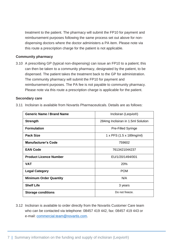treatment to the patient. The pharmacy will submit the FP10 for payment and reimbursement purposes following the same process set out above for nondispensing doctors where the doctor administers a PA item. Please note via this route a prescription charge for the patient is not applicable.

#### **Community pharmacy**

3.10 A prescribing GP (typical non-dispensing) can issue an FP10 to a patient; this can then be taken to a community pharmacy, designated by the patient, to be dispensed. The patient takes the treatment back to the GP for administration. The community pharmacy will submit the FP10 for payment and reimbursement purposes. The PA fee is not payable to community pharmacy. Please note via this route a prescription charge is applicable for the patient.

#### **Secondary care**

3.11 Inclisiran is available from Novartis Pharmaceuticals. Details are as follows:

| <b>Generic Name / Brand Name</b> | Inclisiran (Leqvio <sup>®</sup> )  |
|----------------------------------|------------------------------------|
| <b>Strength</b>                  | 284mg Inclisiran in 1.5ml Solution |
| <b>Formulation</b>               | <b>Pre-Filled Syringe</b>          |
| <b>Pack Size</b>                 | 1 x PFS (1.5 x 189mg/ml)           |
| <b>Manufacturer's Code</b>       | 759602                             |
| <b>EAN Code</b>                  | 7613421044237                      |
| <b>Product Licence Number</b>    | EU/1/20/1494/001                   |
| <b>VAT</b>                       | <b>20%</b>                         |
| <b>Legal Category</b>            | <b>POM</b>                         |
| <b>Minimum Order Quantity</b>    | N/A                                |
| <b>Shelf Life</b>                | 3 years                            |
| <b>Storage conditions</b>        | Do not freeze.                     |

3.12 Inclisiran is available to order directly from the Novartis Customer Care team who can be contacted via telephone: 08457 419 442, fax: 08457 419 443 or e-mail: [commercial.team@novartis.com.](mailto:commercial.team@novartis.com)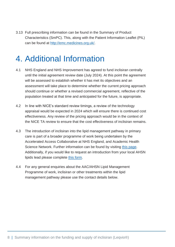3.13 Full prescribing information can be found in the Summary of Product Characteristics (SmPC). This, along with the Patient Information Leaflet (PIL) can be found at [http://emc.medicines.org.uk/.](http://emc.medicines.org.uk/)

## <span id="page-8-0"></span>4. Additional Information

- 4.1 NHS England and NHS Improvement has agreed to fund inclisiran centrally until the initial agreement review date (July 2024). At this point the agreement will be assessed to establish whether it has met its objectives and an assessment will take place to determine whether the current pricing approach should continue or whether a revised commercial agreement, reflective of the population treated at that time and anticipated for the future, is appropriate.
- 4.2 In line with NICE's standard review timings, a review of the technology appraisal would be expected in 2024 which will ensure there is continued cost effectiveness. Any review of the pricing approach would be in the context of the NICE TA review to ensure that the cost effectiveness of inclisiran remains.
- 4.3 The introduction of inclisiran into the lipid management pathway in primary care is part of a broader programme of work being undertaken by the Accelerated Access Collaborative at NHS England, and Academic Health Science Network. Further information can be found by visiting [this page.](https://www.ahsnnetwork.com/about-academic-health-science-networks/national-programmes-priorities/lipid-management-and-fh) Additionally, if you would like to request an introduction from your local AHSN lipids lead please complete [this form.](https://forms.office.com/pages/responsepage.aspx?id=mQAhhVGu6kqUfE1RhFdbNz4DVbGuLCtMvz-vPCLD0b9UMUpYQVhVQkVMVVNSQVdWRjcyWEpQRjdQSC4u)
- 4.4 For any general enquiries about the AAC/AHSN Lipid Management Programme of work, inclisiran or other treatments within the lipid management pathway please use the contact details below.